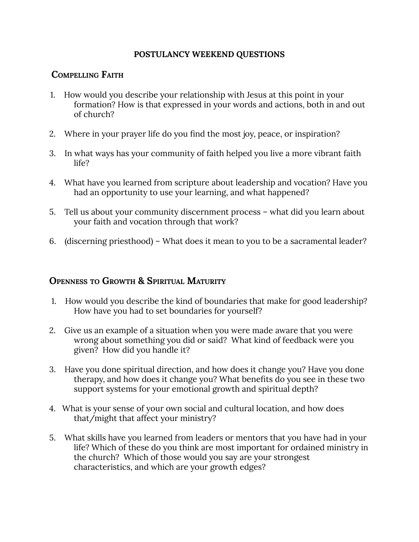#### **POSTULANCY WEEKEND QUESTIONS**

# **COMPELLING FAITH**

- 1. How would you describe your relationship with Jesus at this point in your formation? How is that expressed in your words and actions, both in and out of church?
- 2. Where in your prayer life do you find the most joy, peace, or inspiration?
- 3. In what ways has your community of faith helped you live a more vibrant faith life?
- 4. What have you learned from scripture about leadership and vocation? Have you had an opportunity to use your learning, and what happened?
- 5. Tell us about your community discernment process what did you learn about your faith and vocation through that work?
- 6. (discerning priesthood) What does it mean to you to be a sacramental leader?

### **OPENNESS TO GROWTH & SPIRITUAL MATURITY**

- 1. How would you describe the kind of boundaries that make for good leadership? How have you had to set boundaries for yourself?
- 2. Give us an example of a situation when you were made aware that you were wrong about something you did or said? What kind of feedback were you given? How did you handle it?
- 3. Have you done spiritual direction, and how does it change you? Have you done therapy, and how does it change you? What benefits do you see in these two support systems for your emotional growth and spiritual depth?
- 4. What is your sense of your own social and cultural location, and how does that/might that affect your ministry?
- 5. What skills have you learned from leaders or mentors that you have had in your life? Which of these do you think are most important for ordained ministry in the church? Which of those would you say are your strongest characteristics, and which are your growth edges?